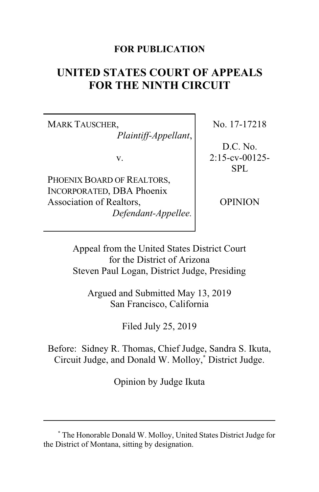## **FOR PUBLICATION**

# **UNITED STATES COURT OF APPEALS FOR THE NINTH CIRCUIT**

MARK TAUSCHER, *Plaintiff-Appellant*,

v.

PHOENIX BOARD OF REALTORS, INCORPORATED, DBA Phoenix Association of Realtors, *Defendant-Appellee.* No. 17-17218

D.C. No. 2:15-cv-00125- SPL

OPINION

Appeal from the United States District Court for the District of Arizona Steven Paul Logan, District Judge, Presiding

Argued and Submitted May 13, 2019 San Francisco, California

Filed July 25, 2019

Before: Sidney R. Thomas, Chief Judge, Sandra S. Ikuta, Circuit Judge, and Donald W. Molloy,**\*** District Judge.

Opinion by Judge Ikuta

**<sup>\*</sup>** The Honorable Donald W. Molloy, United States District Judge for the District of Montana, sitting by designation.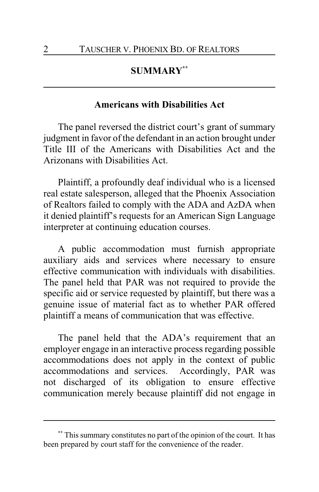## **SUMMARY\*\***

### **Americans with Disabilities Act**

The panel reversed the district court's grant of summary judgment in favor of the defendant in an action brought under Title III of the Americans with Disabilities Act and the Arizonans with Disabilities Act.

Plaintiff, a profoundly deaf individual who is a licensed real estate salesperson, alleged that the Phoenix Association of Realtors failed to comply with the ADA and AzDA when it denied plaintiff's requests for an American Sign Language interpreter at continuing education courses.

A public accommodation must furnish appropriate auxiliary aids and services where necessary to ensure effective communication with individuals with disabilities. The panel held that PAR was not required to provide the specific aid or service requested by plaintiff, but there was a genuine issue of material fact as to whether PAR offered plaintiff a means of communication that was effective.

The panel held that the ADA's requirement that an employer engage in an interactive process regarding possible accommodations does not apply in the context of public accommodations and services. Accordingly, PAR was not discharged of its obligation to ensure effective communication merely because plaintiff did not engage in

**<sup>\*\*</sup>** This summary constitutes no part of the opinion of the court. It has been prepared by court staff for the convenience of the reader.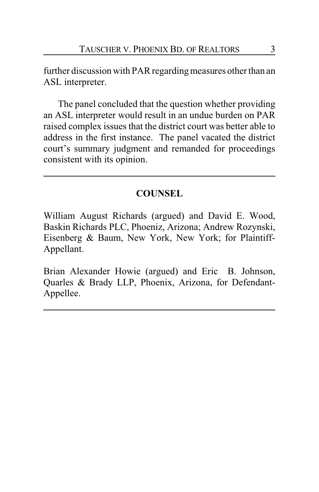further discussion with PAR regarding measures other than an ASL interpreter.

The panel concluded that the question whether providing an ASL interpreter would result in an undue burden on PAR raised complex issues that the district court was better able to address in the first instance. The panel vacated the district court's summary judgment and remanded for proceedings consistent with its opinion.

## **COUNSEL**

William August Richards (argued) and David E. Wood, Baskin Richards PLC, Phoeniz, Arizona; Andrew Rozynski, Eisenberg & Baum, New York, New York; for Plaintiff-Appellant.

Brian Alexander Howie (argued) and Eric B. Johnson, Quarles & Brady LLP, Phoenix, Arizona, for Defendant-Appellee.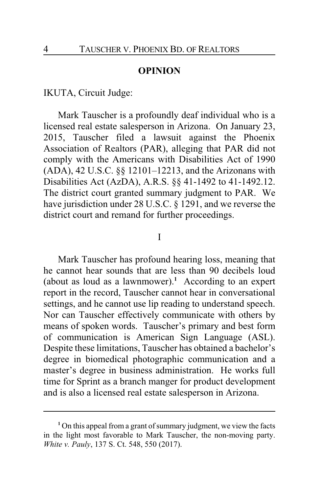#### **OPINION**

IKUTA, Circuit Judge:

Mark Tauscher is a profoundly deaf individual who is a licensed real estate salesperson in Arizona. On January 23, 2015, Tauscher filed a lawsuit against the Phoenix Association of Realtors (PAR), alleging that PAR did not comply with the Americans with Disabilities Act of 1990 (ADA), 42 U.S.C. §§ 12101–12213, and the Arizonans with Disabilities Act (AzDA), A.R.S. §§ 41-1492 to 41-1492.12. The district court granted summary judgment to PAR. We have jurisdiction under 28 U.S.C. § 1291, and we reverse the district court and remand for further proceedings.

#### I

Mark Tauscher has profound hearing loss, meaning that he cannot hear sounds that are less than 90 decibels loud (about as loud as a lawnmower).**<sup>1</sup>** According to an expert report in the record, Tauscher cannot hear in conversational settings, and he cannot use lip reading to understand speech. Nor can Tauscher effectively communicate with others by means of spoken words. Tauscher's primary and best form of communication is American Sign Language (ASL). Despite these limitations, Tauscher has obtained a bachelor's degree in biomedical photographic communication and a master's degree in business administration. He works full time for Sprint as a branch manger for product development and is also a licensed real estate salesperson in Arizona.

**<sup>1</sup>** On this appeal from a grant of summary judgment, we view the facts in the light most favorable to Mark Tauscher, the non-moving party. *White v. Pauly*, 137 S. Ct. 548, 550 (2017).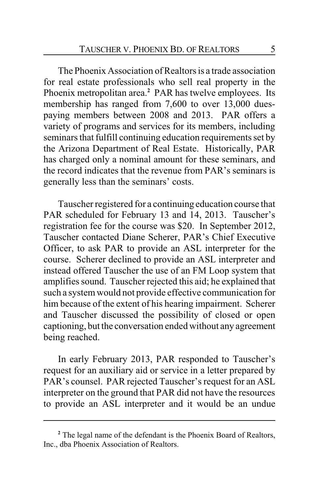The Phoenix Association of Realtors is a trade association for real estate professionals who sell real property in the Phoenix metropolitan area.**<sup>2</sup>** PAR has twelve employees. Its membership has ranged from 7,600 to over 13,000 duespaying members between 2008 and 2013. PAR offers a variety of programs and services for its members, including seminars that fulfill continuing education requirements set by the Arizona Department of Real Estate. Historically, PAR has charged only a nominal amount for these seminars, and the record indicates that the revenue from PAR's seminars is generally less than the seminars' costs.

Tauscher registered for a continuing education course that PAR scheduled for February 13 and 14, 2013. Tauscher's registration fee for the course was \$20. In September 2012, Tauscher contacted Diane Scherer, PAR's Chief Executive Officer, to ask PAR to provide an ASL interpreter for the course. Scherer declined to provide an ASL interpreter and instead offered Tauscher the use of an FM Loop system that amplifies sound. Tauscher rejected this aid; he explained that such a systemwould not provide effective communication for him because of the extent of his hearing impairment. Scherer and Tauscher discussed the possibility of closed or open captioning, but the conversation ended without any agreement being reached.

In early February 2013, PAR responded to Tauscher's request for an auxiliary aid or service in a letter prepared by PAR's counsel. PAR rejected Tauscher's request for an ASL interpreter on the ground that PAR did not have the resources to provide an ASL interpreter and it would be an undue

<sup>&</sup>lt;sup>2</sup> The legal name of the defendant is the Phoenix Board of Realtors, Inc., dba Phoenix Association of Realtors.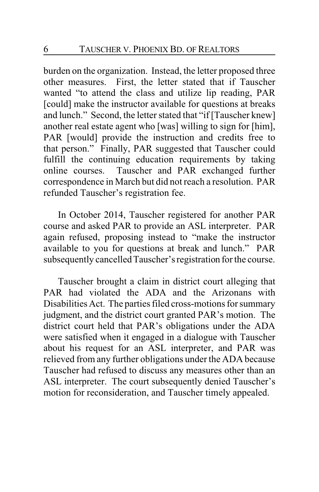burden on the organization. Instead, the letter proposed three other measures. First, the letter stated that if Tauscher wanted "to attend the class and utilize lip reading, PAR [could] make the instructor available for questions at breaks and lunch." Second, the letter stated that "if [Tauscher knew] another real estate agent who [was] willing to sign for [him], PAR [would] provide the instruction and credits free to that person." Finally, PAR suggested that Tauscher could fulfill the continuing education requirements by taking online courses. Tauscher and PAR exchanged further correspondence in March but did not reach a resolution. PAR refunded Tauscher's registration fee.

In October 2014, Tauscher registered for another PAR course and asked PAR to provide an ASL interpreter. PAR again refused, proposing instead to "make the instructor available to you for questions at break and lunch." PAR subsequently cancelled Tauscher's registration for the course.

Tauscher brought a claim in district court alleging that PAR had violated the ADA and the Arizonans with Disabilities Act. The parties filed cross-motions for summary judgment, and the district court granted PAR's motion. The district court held that PAR's obligations under the ADA were satisfied when it engaged in a dialogue with Tauscher about his request for an ASL interpreter, and PAR was relieved from any further obligations under the ADA because Tauscher had refused to discuss any measures other than an ASL interpreter. The court subsequently denied Tauscher's motion for reconsideration, and Tauscher timely appealed.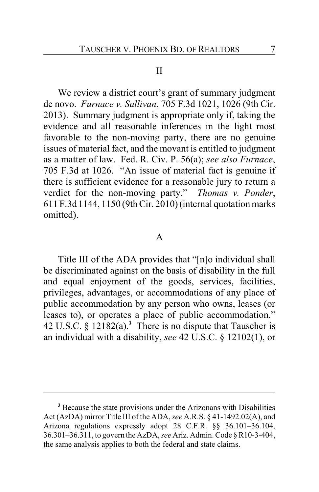#### II

We review a district court's grant of summary judgment de novo. *Furnace v. Sullivan*, 705 F.3d 1021, 1026 (9th Cir. 2013). Summary judgment is appropriate only if, taking the evidence and all reasonable inferences in the light most favorable to the non-moving party, there are no genuine issues of material fact, and the movant is entitled to judgment as a matter of law. Fed. R. Civ. P. 56(a); *see also Furnace*, 705 F.3d at 1026. "An issue of material fact is genuine if there is sufficient evidence for a reasonable jury to return a verdict for the non-moving party." *Thomas v. Ponder*, 611 F.3d 1144, 1150 (9th Cir. 2010) (internal quotation marks omitted).

#### A

Title III of the ADA provides that "[n]o individual shall be discriminated against on the basis of disability in the full and equal enjoyment of the goods, services, facilities, privileges, advantages, or accommodations of any place of public accommodation by any person who owns, leases (or leases to), or operates a place of public accommodation." 42 U.S.C. § 12182(a).**<sup>3</sup>** There is no dispute that Tauscher is an individual with a disability, *see* 42 U.S.C. § 12102(1), or

<sup>&</sup>lt;sup>3</sup> Because the state provisions under the Arizonans with Disabilities Act (AzDA) mirror Title III of the ADA, *see* A.R.S. § 41-1492.02(A), and Arizona regulations expressly adopt 28 C.F.R. §§ 36.101–36.104, 36.301–36.311, to govern the AzDA, *see* Ariz. Admin. Code §R10-3-404, the same analysis applies to both the federal and state claims.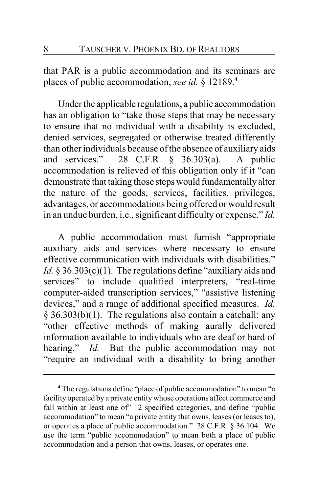that PAR is a public accommodation and its seminars are places of public accommodation, *see id.* § 12189.**<sup>4</sup>**

Under the applicable regulations, a public accommodation has an obligation to "take those steps that may be necessary to ensure that no individual with a disability is excluded, denied services, segregated or otherwise treated differently than other individuals because of the absence of auxiliary aids and services." 28 C.F.R. § 36.303(a). A public accommodation is relieved of this obligation only if it "can demonstrate that taking those steps would fundamentally alter the nature of the goods, services, facilities, privileges, advantages, or accommodations being offered or would result in an undue burden, i.e., significant difficulty or expense." *Id.*

A public accommodation must furnish "appropriate auxiliary aids and services where necessary to ensure effective communication with individuals with disabilities." *Id.* § 36.303(c)(1). The regulations define "auxiliary aids and services" to include qualified interpreters, "real-time computer-aided transcription services," "assistive listening devices," and a range of additional specified measures. *Id.* § 36.303(b)(1). The regulations also contain a catchall: any "other effective methods of making aurally delivered information available to individuals who are deaf or hard of hearing." *Id.* But the public accommodation may not "require an individual with a disability to bring another

**<sup>4</sup>** The regulations define "place of public accommodation" to mean "a facility operated by a private entity whose operations affect commerce and fall within at least one of" 12 specified categories, and define "public accommodation" to mean "a private entity that owns, leases (or leases to), or operates a place of public accommodation." 28 C.F.R. § 36.104. We use the term "public accommodation" to mean both a place of public accommodation and a person that owns, leases, or operates one.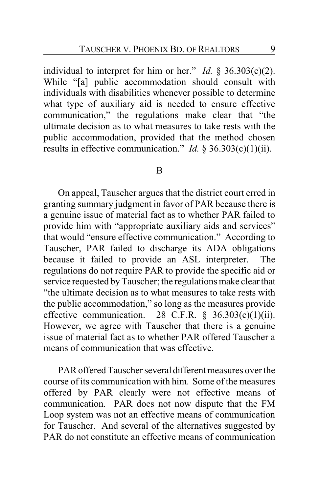individual to interpret for him or her." *Id.* § 36.303(c)(2). While "[a] public accommodation should consult with individuals with disabilities whenever possible to determine what type of auxiliary aid is needed to ensure effective communication," the regulations make clear that "the ultimate decision as to what measures to take rests with the public accommodation, provided that the method chosen results in effective communication." *Id.* § 36.303(c)(1)(ii).

#### B

On appeal, Tauscher argues that the district court erred in granting summary judgment in favor of PAR because there is a genuine issue of material fact as to whether PAR failed to provide him with "appropriate auxiliary aids and services" that would "ensure effective communication." According to Tauscher, PAR failed to discharge its ADA obligations because it failed to provide an ASL interpreter. The regulations do not require PAR to provide the specific aid or service requested by Tauscher; the regulations make clear that "the ultimate decision as to what measures to take rests with the public accommodation," so long as the measures provide effective communication. 28 C.F.R.  $\frac{$}{5}$  36.303(c)(1)(ii). However, we agree with Tauscher that there is a genuine issue of material fact as to whether PAR offered Tauscher a means of communication that was effective.

PAR offered Tauscher several different measures over the course of its communication with him. Some of the measures offered by PAR clearly were not effective means of communication. PAR does not now dispute that the FM Loop system was not an effective means of communication for Tauscher. And several of the alternatives suggested by PAR do not constitute an effective means of communication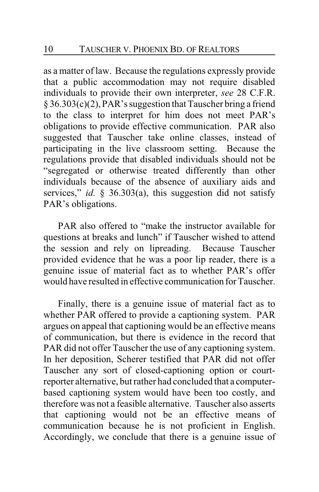as a matter of law. Because the regulations expressly provide that a public accommodation may not require disabled individuals to provide their own interpreter, *see* 28 C.F.R. § 36.303(c)(2), PAR's suggestion that Tauscher bring a friend to the class to interpret for him does not meet PAR's obligations to provide effective communication. PAR also suggested that Tauscher take online classes, instead of participating in the live classroom setting. Because the regulations provide that disabled individuals should not be "segregated or otherwise treated differently than other individuals because of the absence of auxiliary aids and services," *id.* § 36.303(a), this suggestion did not satisfy PAR's obligations.

PAR also offered to "make the instructor available for questions at breaks and lunch" if Tauscher wished to attend the session and rely on lipreading. Because Tauscher provided evidence that he was a poor lip reader, there is a genuine issue of material fact as to whether PAR's offer would have resulted in effective communication for Tauscher.

Finally, there is a genuine issue of material fact as to whether PAR offered to provide a captioning system. PAR argues on appeal that captioning would be an effective means of communication, but there is evidence in the record that PAR did not offer Tauscher the use of any captioning system. In her deposition, Scherer testified that PAR did not offer Tauscher any sort of closed-captioning option or courtreporter alternative, but rather had concluded that a computerbased captioning system would have been too costly, and therefore was not a feasible alternative. Tauscher also asserts that captioning would not be an effective means of communication because he is not proficient in English. Accordingly, we conclude that there is a genuine issue of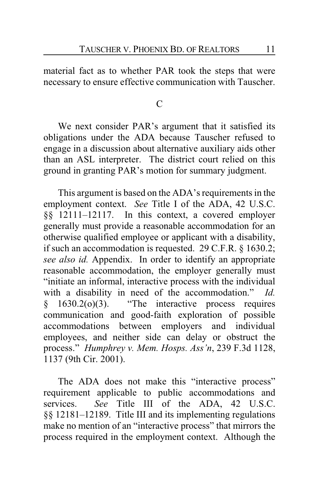material fact as to whether PAR took the steps that were necessary to ensure effective communication with Tauscher.

 $\mathcal{C}$ 

We next consider PAR's argument that it satisfied its obligations under the ADA because Tauscher refused to engage in a discussion about alternative auxiliary aids other than an ASL interpreter. The district court relied on this ground in granting PAR's motion for summary judgment.

This argument is based on the ADA's requirements in the employment context. *See* Title I of the ADA, 42 U.S.C. §§ 12111–12117. In this context, a covered employer generally must provide a reasonable accommodation for an otherwise qualified employee or applicant with a disability, if such an accommodation is requested. 29 C.F.R. § 1630.2; *see also id.* Appendix. In order to identify an appropriate reasonable accommodation, the employer generally must "initiate an informal, interactive process with the individual with a disability in need of the accommodation." *Id.* § 1630.2(o)(3). "The interactive process requires communication and good-faith exploration of possible accommodations between employers and individual employees, and neither side can delay or obstruct the process." *Humphrey v. Mem. Hosps. Ass'n*, 239 F.3d 1128, 1137 (9th Cir. 2001).

The ADA does not make this "interactive process" requirement applicable to public accommodations and services. *See* Title III of the ADA, 42 U.S.C. §§ 12181–12189. Title III and its implementing regulations make no mention of an "interactive process" that mirrors the process required in the employment context. Although the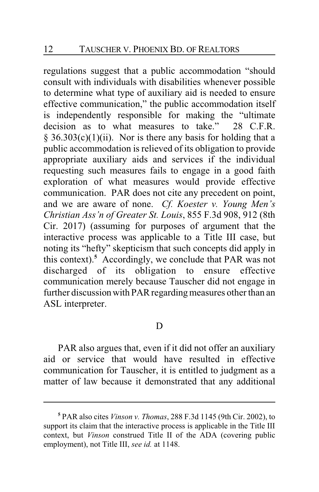regulations suggest that a public accommodation "should consult with individuals with disabilities whenever possible to determine what type of auxiliary aid is needed to ensure effective communication," the public accommodation itself is independently responsible for making the "ultimate decision as to what measures to take." 28 C.F.R.  $§ 36.303(c)(1)(ii)$ . Nor is there any basis for holding that a public accommodation is relieved of its obligation to provide appropriate auxiliary aids and services if the individual requesting such measures fails to engage in a good faith exploration of what measures would provide effective communication. PAR does not cite any precedent on point, and we are aware of none. *Cf. Koester v. Young Men's Christian Ass'n of Greater St. Louis*, 855 F.3d 908, 912 (8th Cir. 2017) (assuming for purposes of argument that the interactive process was applicable to a Title III case, but noting its "hefty" skepticism that such concepts did apply in this context).**<sup>5</sup>** Accordingly, we conclude that PAR was not discharged of its obligation to ensure effective communication merely because Tauscher did not engage in further discussion with PAR regarding measures other than an ASL interpreter.

#### D

PAR also argues that, even if it did not offer an auxiliary aid or service that would have resulted in effective communication for Tauscher, it is entitled to judgment as a matter of law because it demonstrated that any additional

**<sup>5</sup>** PAR also cites *Vinson v. Thomas*, 288 F.3d 1145 (9th Cir. 2002), to support its claim that the interactive process is applicable in the Title III context, but *Vinson* construed Title II of the ADA (covering public employment), not Title III, *see id.* at 1148.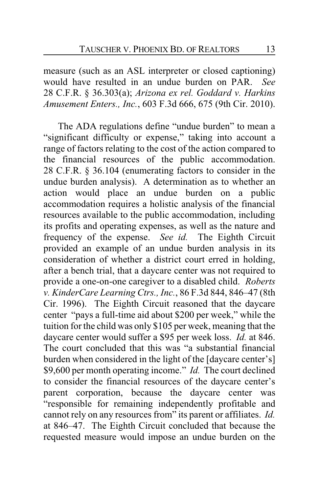measure (such as an ASL interpreter or closed captioning) would have resulted in an undue burden on PAR. *See* 28 C.F.R. § 36.303(a); *Arizona ex rel. Goddard v. Harkins Amusement Enters., Inc.*, 603 F.3d 666, 675 (9th Cir. 2010).

The ADA regulations define "undue burden" to mean a "significant difficulty or expense," taking into account a range of factors relating to the cost of the action compared to the financial resources of the public accommodation. 28 C.F.R. § 36.104 (enumerating factors to consider in the undue burden analysis). A determination as to whether an action would place an undue burden on a public accommodation requires a holistic analysis of the financial resources available to the public accommodation, including its profits and operating expenses, as well as the nature and frequency of the expense. *See id.* The Eighth Circuit provided an example of an undue burden analysis in its consideration of whether a district court erred in holding, after a bench trial, that a daycare center was not required to provide a one-on-one caregiver to a disabled child. *Roberts v. KinderCare Learning Ctrs., Inc.*, 86 F.3d 844, 846–47 (8th Cir. 1996). The Eighth Circuit reasoned that the daycare center "pays a full-time aid about \$200 per week," while the tuition for the child was only \$105 per week, meaning that the daycare center would suffer a \$95 per week loss. *Id.* at 846. The court concluded that this was "a substantial financial burden when considered in the light of the [daycare center's] \$9,600 per month operating income." *Id.* The court declined to consider the financial resources of the daycare center's parent corporation, because the daycare center was "responsible for remaining independently profitable and cannot rely on any resources from" its parent or affiliates. *Id.* at 846–47. The Eighth Circuit concluded that because the requested measure would impose an undue burden on the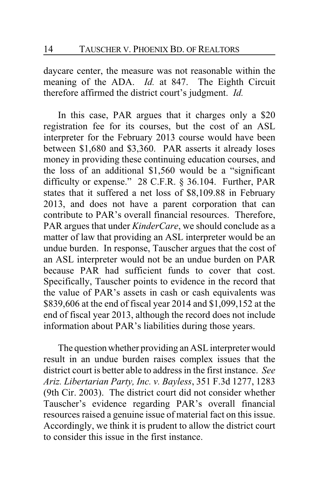daycare center, the measure was not reasonable within the meaning of the ADA. *Id.* at 847. The Eighth Circuit therefore affirmed the district court's judgment. *Id.*

In this case, PAR argues that it charges only a \$20 registration fee for its courses, but the cost of an ASL interpreter for the February 2013 course would have been between \$1,680 and \$3,360. PAR asserts it already loses money in providing these continuing education courses, and the loss of an additional \$1,560 would be a "significant difficulty or expense." 28 C.F.R. § 36.104. Further, PAR states that it suffered a net loss of \$8,109.88 in February 2013, and does not have a parent corporation that can contribute to PAR's overall financial resources. Therefore, PAR argues that under *KinderCare*, we should conclude as a matter of law that providing an ASL interpreter would be an undue burden. In response, Tauscher argues that the cost of an ASL interpreter would not be an undue burden on PAR because PAR had sufficient funds to cover that cost. Specifically, Tauscher points to evidence in the record that the value of PAR's assets in cash or cash equivalents was \$839,606 at the end of fiscal year 2014 and \$1,099,152 at the end of fiscal year 2013, although the record does not include information about PAR's liabilities during those years.

The question whether providing an ASL interpreter would result in an undue burden raises complex issues that the district court is better able to address in the first instance. *See Ariz. Libertarian Party, Inc. v. Bayless*, 351 F.3d 1277, 1283 (9th Cir. 2003). The district court did not consider whether Tauscher's evidence regarding PAR's overall financial resources raised a genuine issue of material fact on this issue. Accordingly, we think it is prudent to allow the district court to consider this issue in the first instance.